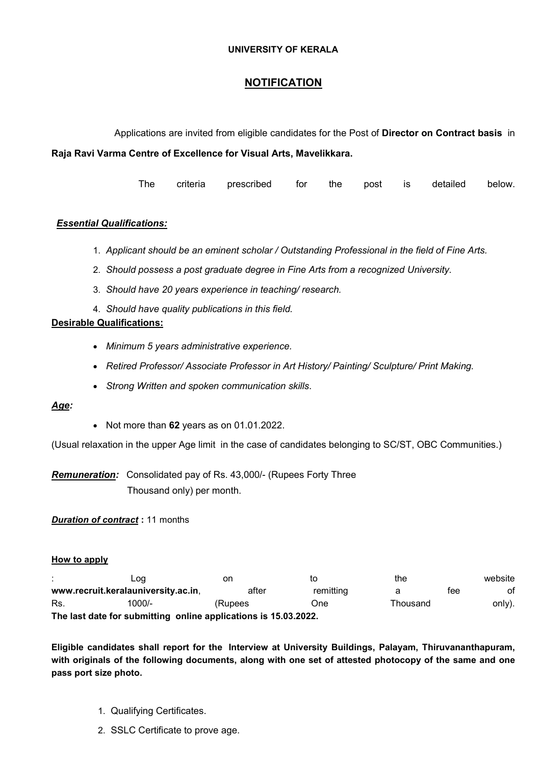### UNIVERSITY OF KERALA

# **NOTIFICATION**

Applications are invited from eligible candidates for the Post of Director on Contract basis in

Raja Ravi Varma Centre of Excellence for Visual Arts, Mavelikkara.

The criteria prescribed for the post is detailed below.

## **Essential Qualifications:**

- 1. Applicant should be an eminent scholar / Outstanding Professional in the field of Fine Arts.
- 2. Should possess a post graduate degree in Fine Arts from a recognized University.
- 3. Should have 20 years experience in teaching/ research.
- 4. Should have quality publications in this field.

## Desirable Qualifications:

- Minimum 5 years administrative experience.
- Retired Professor/ Associate Professor in Art History/ Painting/ Sculpture/ Print Making.
- Strong Written and spoken communication skills.

#### Age:

• Not more than 62 years as on 01.01.2022.

(Usual relaxation in the upper Age limit in the case of candidates belonging to SC/ST, OBC Communities.)

Remuneration: Consolidated pay of Rs. 43,000/- (Rupees Forty Three Thousand only) per month.

**Duration of contract: 11 months** 

#### How to apply

|                                                                 | Log                                 | on      | to        | the      |     | website |
|-----------------------------------------------------------------|-------------------------------------|---------|-----------|----------|-----|---------|
|                                                                 | www.recruit.keralauniversity.ac.in, | after   | remitting |          | tee | ot      |
| Rs.                                                             | 1000/-                              | (Rupees | One       | Thousand |     | only).  |
| The last date for submitting online applications is 15.03.2022. |                                     |         |           |          |     |         |

Eligible candidates shall report for the Interview at University Buildings, Palayam, Thiruvananthapuram, with originals of the following documents, along with one set of attested photocopy of the same and one pass port size photo.

- 1. Qualifying Certificates.
- 2. SSLC Certificate to prove age.